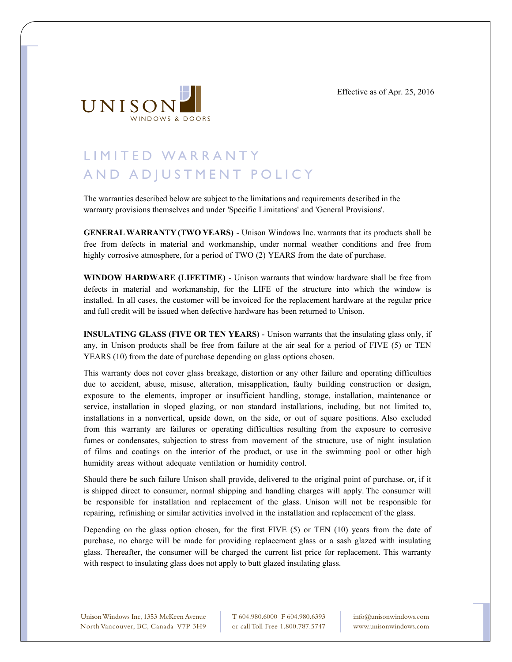Effective as of Apr. 25, 2016



## LIMITED WARRANTY AND ADJUSTMENT POLICY

The warranties described below are subject to the limitations and requirements described in the warranty provisions themselves and under 'Specific Limitations' and 'General Provisions'.

**GENERAL WARRANTY (TWO YEARS)** - Unison Windows Inc. warrants that its products shall be free from defects in material and workmanship, under normal weather conditions and free from highly corrosive atmosphere, for a period of TWO (2) YEARS from the date of purchase.

**WINDOW HARDWARE (LIFETIME)** - Unison warrants that window hardware shall be free from defects in material and workmanship, for the LIFE of the structure into which the window is installed. In all cases, the customer will be invoiced for the replacement hardware at the regular price and full credit will be issued when defective hardware has been returned to Unison.

**INSULATING GLASS (FIVE OR TEN YEARS)** - Unison warrants that the insulating glass only, if any, in Unison products shall be free from failure at the air seal for a period of FIVE (5) or TEN YEARS (10) from the date of purchase depending on glass options chosen.

This warranty does not cover glass breakage, distortion or any other failure and operating difficulties due to accident, abuse, misuse, alteration, misapplication, faulty building construction or design, exposure to the elements, improper or insufficient handling, storage, installation, maintenance or service, installation in sloped glazing, or non standard installations, including, but not limited to, installations in a nonvertical, upside down, on the side, or out of square positions. Also excluded from this warranty are failures or operating difficulties resulting from the exposure to corrosive fumes or condensates, subjection to stress from movement of the structure, use of night insulation of films and coatings on the interior of the product, or use in the swimming pool or other high humidity areas without adequate ventilation or humidity control.

Should there be such failure Unison shall provide, delivered to the original point of purchase, or, if it is shipped direct to consumer, normal shipping and handling charges will apply. The consumer will be responsible for installation and replacement of the glass. Unison will not be responsible for repairing, refinishing or similar activities involved in the installation and replacement of the glass.

Depending on the glass option chosen, for the first FIVE (5) or TEN (10) years from the date of purchase, no charge will be made for providing replacement glass or a sash glazed with insulating glass. Thereafter, the consumer will be charged the current list price for replacement. This warranty with respect to insulating glass does not apply to butt glazed insulating glass.

Unison Windows Inc, 1353 McKeen Avenue North Vancouver, BC, Canada V7P 3H9 T 604.980.6000 F 604.980.6393 or call Toll Free 1.800.787.5747

info@unisonwindows.com www.unisonwindows.com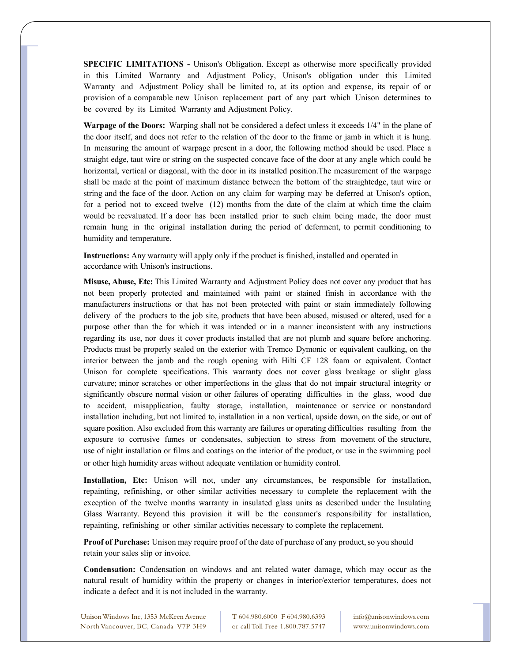**SPECIFIC LIMITATIONS -** Unison's Obligation. Except as otherwise more specifically provided in this Limited Warranty and Adjustment Policy, Unison's obligation under this Limited Warranty and Adjustment Policy shall be limited to, at its option and expense, its repair of or provision of a comparable new Unison replacement part of any part which Unison determines to be covered by its Limited Warranty and Adjustment Policy.

**Warpage of the Doors:** Warping shall not be considered a defect unless it exceeds 1/4" in the plane of the door itself, and does not refer to the relation of the door to the frame or jamb in which it is hung. In measuring the amount of warpage present in a door, the following method should be used. Place a straight edge, taut wire or string on the suspected concave face of the door at any angle which could be horizontal, vertical or diagonal, with the door in its installed position.The measurement of the warpage shall be made at the point of maximum distance between the bottom of the straightedge, taut wire or string and the face of the door. Action on any claim for warping may be deferred at Unison's option, for a period not to exceed twelve (12) months from the date of the claim at which time the claim would be reevaluated. If a door has been installed prior to such claim being made, the door must remain hung in the original installation during the period of deferment, to permit conditioning to humidity and temperature.

**Instructions:** Any warranty will apply only if the product is finished, installed and operated in accordance with Unison's instructions.

**Misuse, Abuse, Etc:** This Limited Warranty and Adjustment Policy does not cover any product that has not been properly protected and maintained with paint or stained finish in accordance with the manufacturers instructions or that has not been protected with paint or stain immediately following delivery of the products to the job site, products that have been abused, misused or altered, used for a purpose other than the for which it was intended or in a manner inconsistent with any instructions regarding its use, nor does it cover products installed that are not plumb and square before anchoring. Products must be properly sealed on the exterior with Tremco Dymonic or equivalent caulking, on the interior between the jamb and the rough opening with Hilti CF 128 foam or equivalent. Contact Unison for complete specifications. This warranty does not cover glass breakage or slight glass curvature; minor scratches or other imperfections in the glass that do not impair structural integrity or significantly obscure normal vision or other failures of operating difficulties in the glass, wood due to accident, misapplication, faulty storage, installation, maintenance or service or nonstandard installation including, but not limited to, installation in a non vertical, upside down, on the side, or out of square position. Also excluded from this warranty are failures or operating difficulties resulting from the exposure to corrosive fumes or condensates, subjection to stress from movement of the structure, use of night installation or films and coatings on the interior of the product, or use in the swimming pool or other high humidity areas without adequate ventilation or humidity control.

**Installation, Etc:** Unison will not, under any circumstances, be responsible for installation, repainting, refinishing, or other similar activities necessary to complete the replacement with the exception of the twelve months warranty in insulated glass units as described under the Insulating Glass Warranty. Beyond this provision it will be the consumer's responsibility for installation, repainting, refinishing or other similar activities necessary to complete the replacement.

**Proof of Purchase:** Unison may require proof of the date of purchase of any product, so you should retain your sales slip or invoice.

**Condensation:** Condensation on windows and ant related water damage, which may occur as the natural result of humidity within the property or changes in interior/exterior temperatures, does not indicate a defect and it is not included in the warranty.

Unison Windows Inc, 1353 McKeen Avenue North Vancouver, BC, Canada V7P 3H9 T 604.980.6000 F 604.980.6393 or call Toll Free 1.800.787.5747

info@unisonwindows.com www.unisonwindows.com